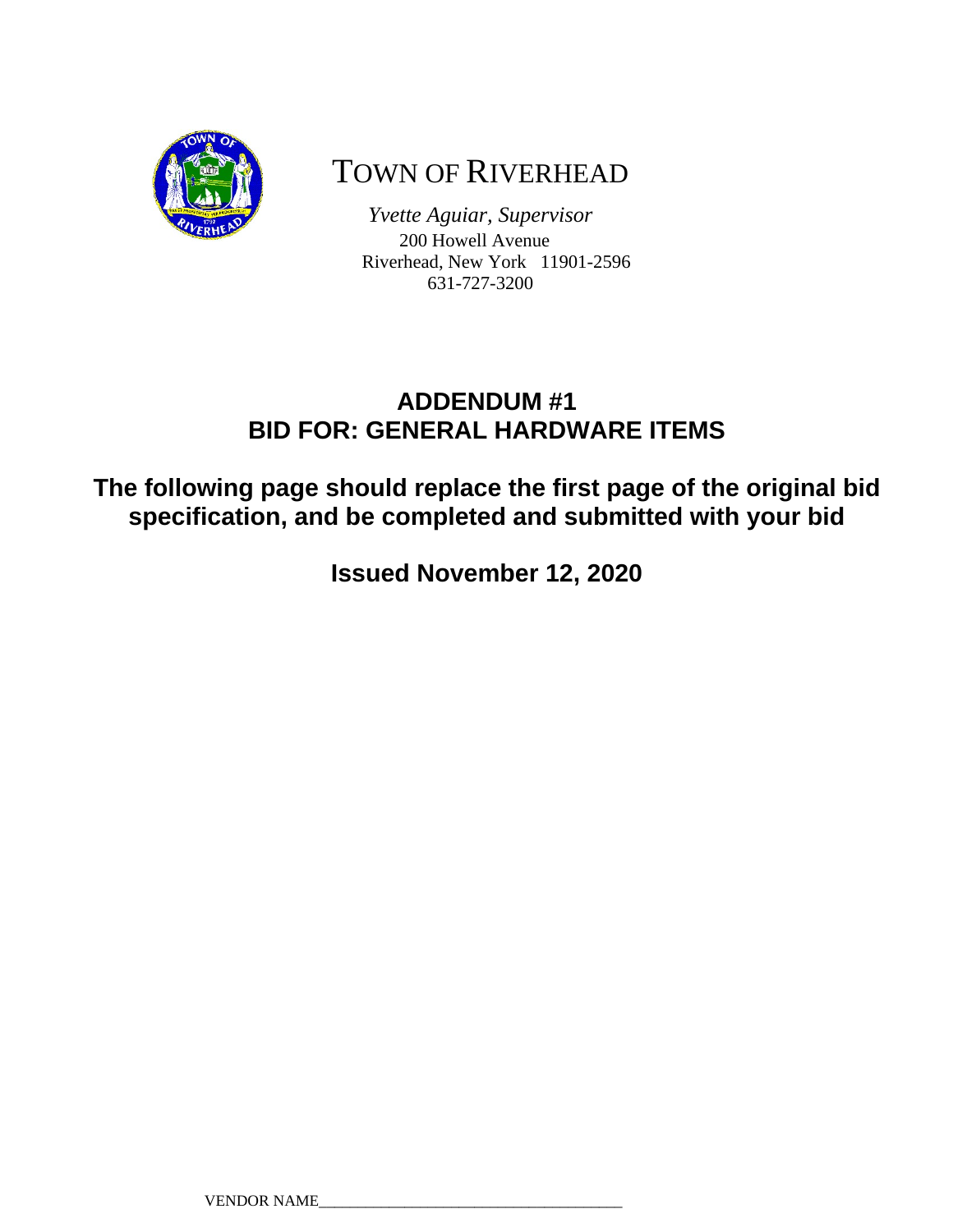

# TOWN OF RIVERHEAD

*Yvette Aguiar, Supervisor*  200 Howell Avenue Riverhead, New York 11901-2596 631-727-3200

# **ADDENDUM #1 BID FOR: GENERAL HARDWARE ITEMS**

**The following page should replace the first page of the original bid specification, and be completed and submitted with your bid** 

**Issued November 12, 2020**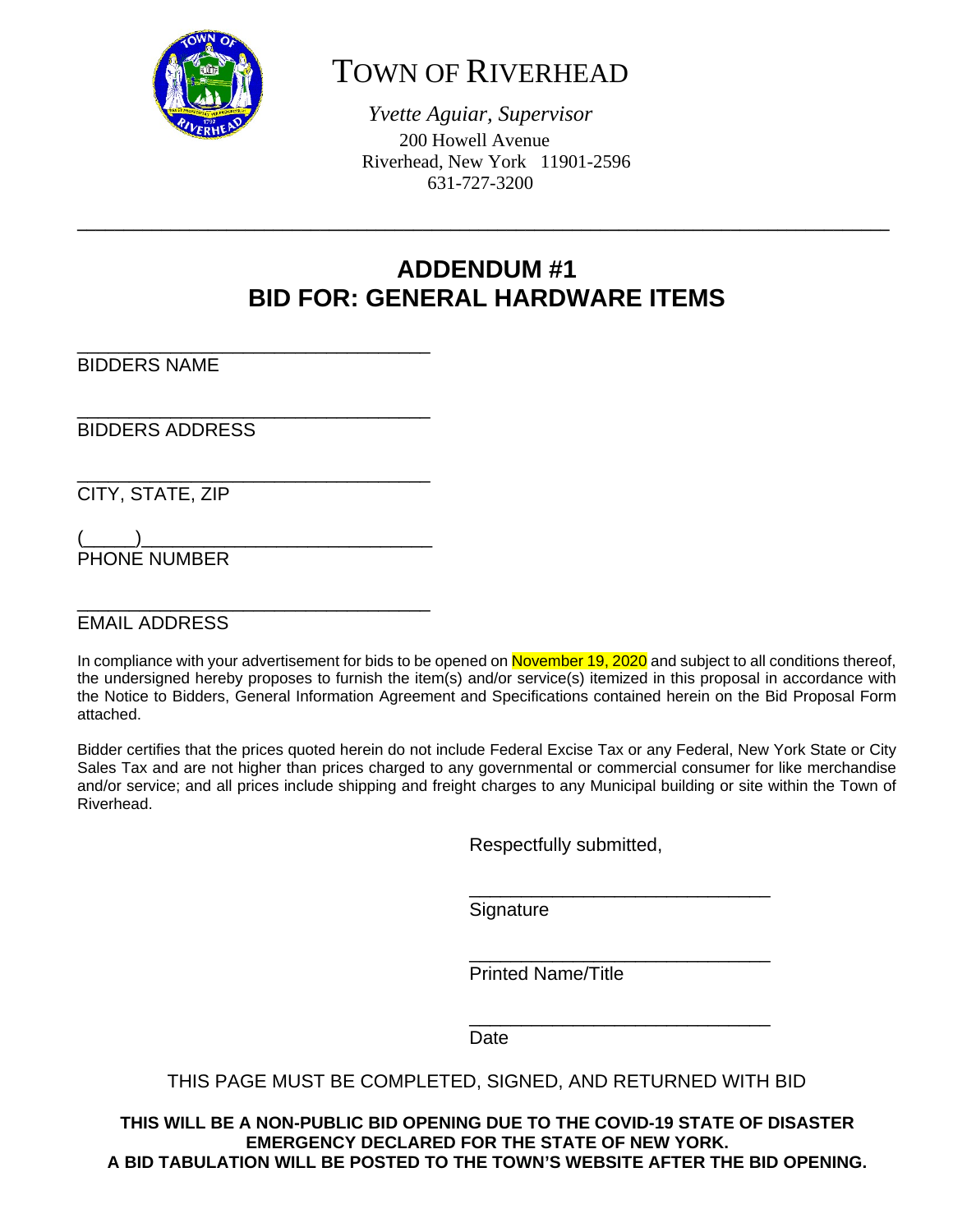

# TOWN OF RIVERHEAD

*Yvette Aguiar, Supervisor*  200 Howell Avenue Riverhead, New York 11901-2596 631-727-3200

# **ADDENDUM #1 BID FOR: GENERAL HARDWARE ITEMS**

**\_\_\_\_\_\_\_\_\_\_\_\_\_\_\_\_\_\_\_\_\_\_\_\_\_\_\_\_\_\_\_\_\_\_\_\_\_\_\_\_\_\_\_\_\_\_\_\_\_\_\_\_\_\_\_\_\_\_\_\_\_\_\_\_\_\_\_\_\_\_\_\_\_\_\_\_\_\_\_\_\_\_\_\_\_\_\_**

\_\_\_\_\_\_\_\_\_\_\_\_\_\_\_\_\_\_\_\_\_\_\_\_\_\_\_\_\_\_\_\_\_\_ BIDDERS NAME

\_\_\_\_\_\_\_\_\_\_\_\_\_\_\_\_\_\_\_\_\_\_\_\_\_\_\_\_\_\_\_\_\_\_ BIDDERS ADDRESS

\_\_\_\_\_\_\_\_\_\_\_\_\_\_\_\_\_\_\_\_\_\_\_\_\_\_\_\_\_\_\_\_\_\_

\_\_\_\_\_\_\_\_\_\_\_\_\_\_\_\_\_\_\_\_\_\_\_\_\_\_\_\_\_\_\_\_\_\_

CITY, STATE, ZIP

 $\begin{pmatrix} \begin{pmatrix} \cdots & \cdots \end{pmatrix} & \cdots & \cdots & \cdots & \cdots \end{pmatrix}$ PHONE NUMBER

EMAIL ADDRESS

In compliance with your advertisement for bids to be opened on November 19, 2020 and subject to all conditions thereof, the undersigned hereby proposes to furnish the item(s) and/or service(s) itemized in this proposal in accordance with the Notice to Bidders, General Information Agreement and Specifications contained herein on the Bid Proposal Form attached.

Bidder certifies that the prices quoted herein do not include Federal Excise Tax or any Federal, New York State or City Sales Tax and are not higher than prices charged to any governmental or commercial consumer for like merchandise and/or service; and all prices include shipping and freight charges to any Municipal building or site within the Town of Riverhead.

Respectfully submitted,

 $\frac{1}{\sqrt{2\pi}}$  , which is the contract of the contract of the contract of the contract of the contract of the contract of the contract of the contract of the contract of the contract of the contract of the contract of the **Signature** 

Printed Name/Title

**Date Date Date** 

 $\overline{\phantom{a}}$  , and the contract of the contract of the contract of the contract of the contract of the contract of the contract of the contract of the contract of the contract of the contract of the contract of the contrac

 $\frac{1}{\sqrt{2\pi}}$  , which is the contract of the contract of the contract of the contract of the contract of the contract of the contract of the contract of the contract of the contract of the contract of the contract of the

#### THIS PAGE MUST BE COMPLETED, SIGNED, AND RETURNED WITH BID

**THIS WILL BE A NON-PUBLIC BID OPENING DUE TO THE COVID-19 STATE OF DISASTER EMERGENCY DECLARED FOR THE STATE OF NEW YORK. A BID TABULATION WILL BE POSTED TO THE TOWN'S WEBSITE AFTER THE BID OPENING.**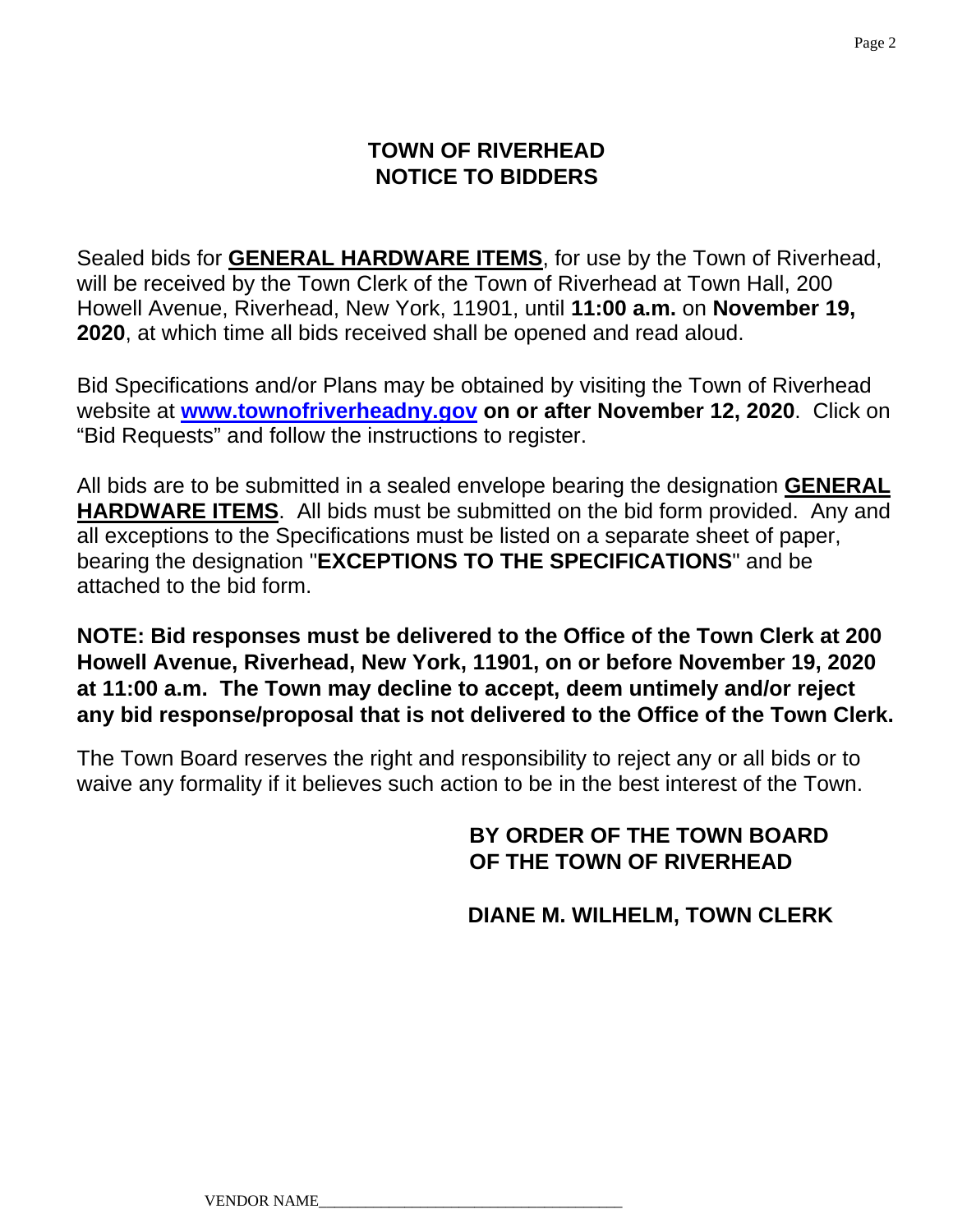## **TOWN OF RIVERHEAD NOTICE TO BIDDERS**

Sealed bids for **GENERAL HARDWARE ITEMS**, for use by the Town of Riverhead, will be received by the Town Clerk of the Town of Riverhead at Town Hall, 200 Howell Avenue, Riverhead, New York, 11901, until **11:00 a.m.** on **November 19, 2020**, at which time all bids received shall be opened and read aloud.

Bid Specifications and/or Plans may be obtained by visiting the Town of Riverhead website at **www.townofriverheadny.gov on or after November 12, 2020**. Click on "Bid Requests" and follow the instructions to register.

All bids are to be submitted in a sealed envelope bearing the designation **GENERAL HARDWARE ITEMS**. All bids must be submitted on the bid form provided. Any and all exceptions to the Specifications must be listed on a separate sheet of paper, bearing the designation "**EXCEPTIONS TO THE SPECIFICATIONS**" and be attached to the bid form.

### **NOTE: Bid responses must be delivered to the Office of the Town Clerk at 200 Howell Avenue, Riverhead, New York, 11901, on or before November 19, 2020 at 11:00 a.m. The Town may decline to accept, deem untimely and/or reject any bid response/proposal that is not delivered to the Office of the Town Clerk.**

The Town Board reserves the right and responsibility to reject any or all bids or to waive any formality if it believes such action to be in the best interest of the Town.

## **BY ORDER OF THE TOWN BOARD OF THE TOWN OF RIVERHEAD**

 **DIANE M. WILHELM, TOWN CLERK**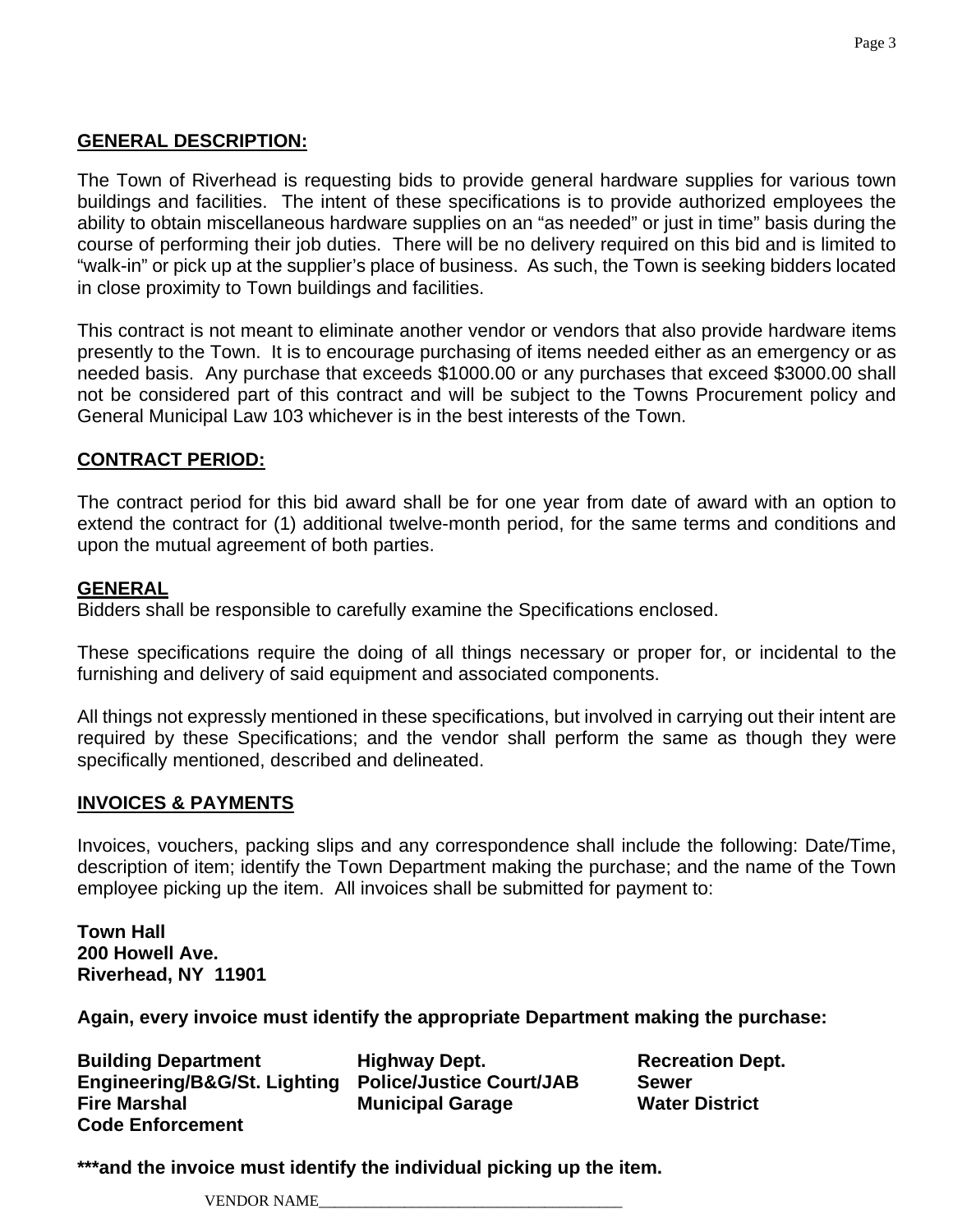#### **GENERAL DESCRIPTION:**

The Town of Riverhead is requesting bids to provide general hardware supplies for various town buildings and facilities. The intent of these specifications is to provide authorized employees the ability to obtain miscellaneous hardware supplies on an "as needed" or just in time" basis during the course of performing their job duties. There will be no delivery required on this bid and is limited to "walk-in" or pick up at the supplier's place of business. As such, the Town is seeking bidders located in close proximity to Town buildings and facilities.

This contract is not meant to eliminate another vendor or vendors that also provide hardware items presently to the Town. It is to encourage purchasing of items needed either as an emergency or as needed basis. Any purchase that exceeds \$1000.00 or any purchases that exceed \$3000.00 shall not be considered part of this contract and will be subject to the Towns Procurement policy and General Municipal Law 103 whichever is in the best interests of the Town.

#### **CONTRACT PERIOD:**

The contract period for this bid award shall be for one year from date of award with an option to extend the contract for (1) additional twelve-month period, for the same terms and conditions and upon the mutual agreement of both parties.

#### **GENERAL**

Bidders shall be responsible to carefully examine the Specifications enclosed.

These specifications require the doing of all things necessary or proper for, or incidental to the furnishing and delivery of said equipment and associated components.

All things not expressly mentioned in these specifications, but involved in carrying out their intent are required by these Specifications; and the vendor shall perform the same as though they were specifically mentioned, described and delineated.

#### **INVOICES & PAYMENTS**

Invoices, vouchers, packing slips and any correspondence shall include the following: Date/Time, description of item; identify the Town Department making the purchase; and the name of the Town employee picking up the item. All invoices shall be submitted for payment to:

**Town Hall 200 Howell Ave. Riverhead, NY 11901** 

**Again, every invoice must identify the appropriate Department making the purchase:** 

**Building Department Fighway Dept. Communist Communist Propertion Cept. Engineering/B&G/St. Lighting Police/Justice Court/JAB Sewer Fire Marshal Municipal Garage Water District Code Enforcement** 

**\*\*\*and the invoice must identify the individual picking up the item.** 

VENDOR NAME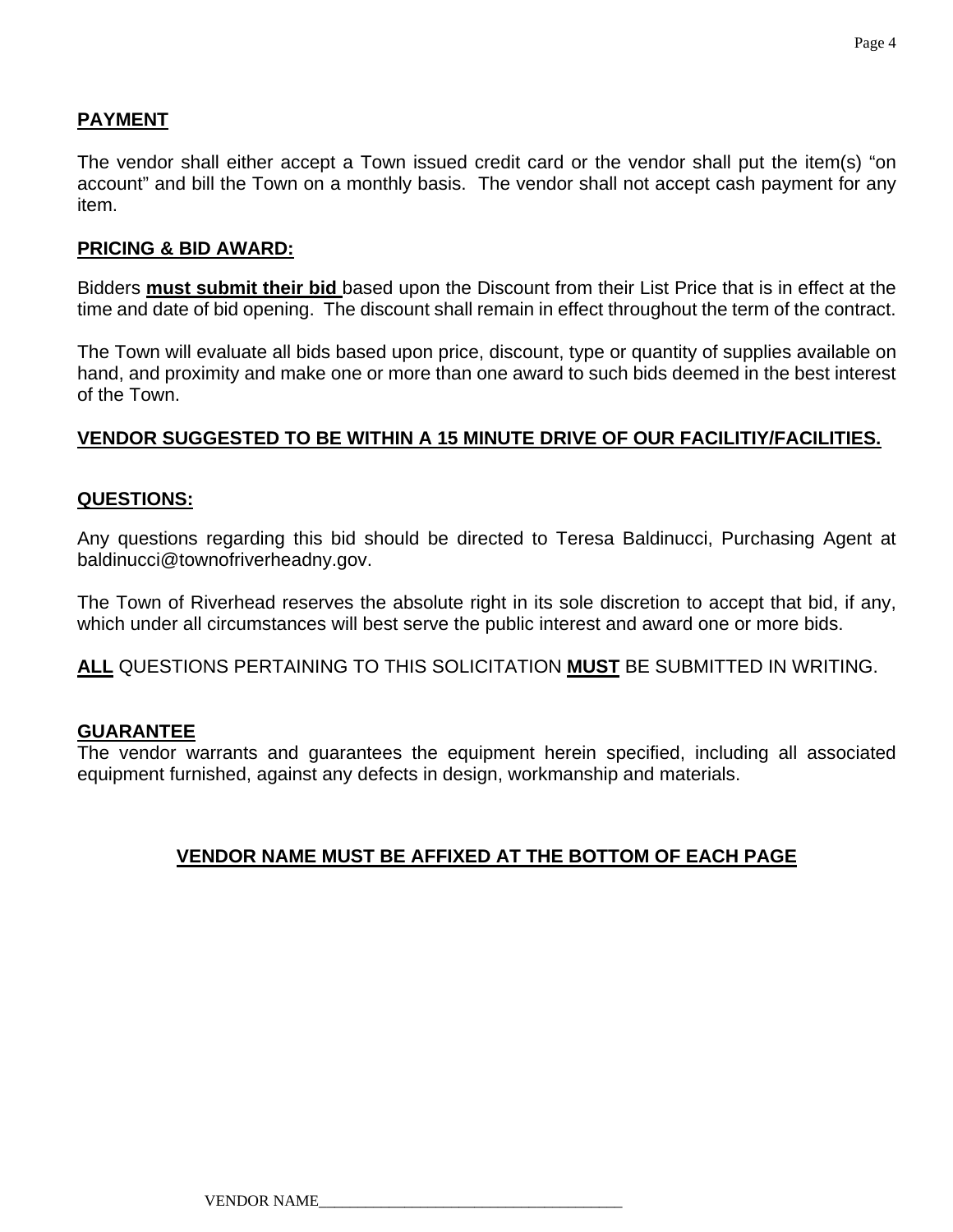#### **PAYMENT**

The vendor shall either accept a Town issued credit card or the vendor shall put the item(s) "on account" and bill the Town on a monthly basis. The vendor shall not accept cash payment for any item.

#### **PRICING & BID AWARD:**

Bidders **must submit their bid** based upon the Discount from their List Price that is in effect at the time and date of bid opening. The discount shall remain in effect throughout the term of the contract.

The Town will evaluate all bids based upon price, discount, type or quantity of supplies available on hand, and proximity and make one or more than one award to such bids deemed in the best interest of the Town.

#### **VENDOR SUGGESTED TO BE WITHIN A 15 MINUTE DRIVE OF OUR FACILITIY/FACILITIES.**

#### **QUESTIONS:**

Any questions regarding this bid should be directed to Teresa Baldinucci, Purchasing Agent at baldinucci@townofriverheadny.gov.

The Town of Riverhead reserves the absolute right in its sole discretion to accept that bid, if any, which under all circumstances will best serve the public interest and award one or more bids.

**ALL** QUESTIONS PERTAINING TO THIS SOLICITATION **MUST** BE SUBMITTED IN WRITING.

#### **GUARANTEE**

The vendor warrants and guarantees the equipment herein specified, including all associated equipment furnished, against any defects in design, workmanship and materials.

#### **VENDOR NAME MUST BE AFFIXED AT THE BOTTOM OF EACH PAGE**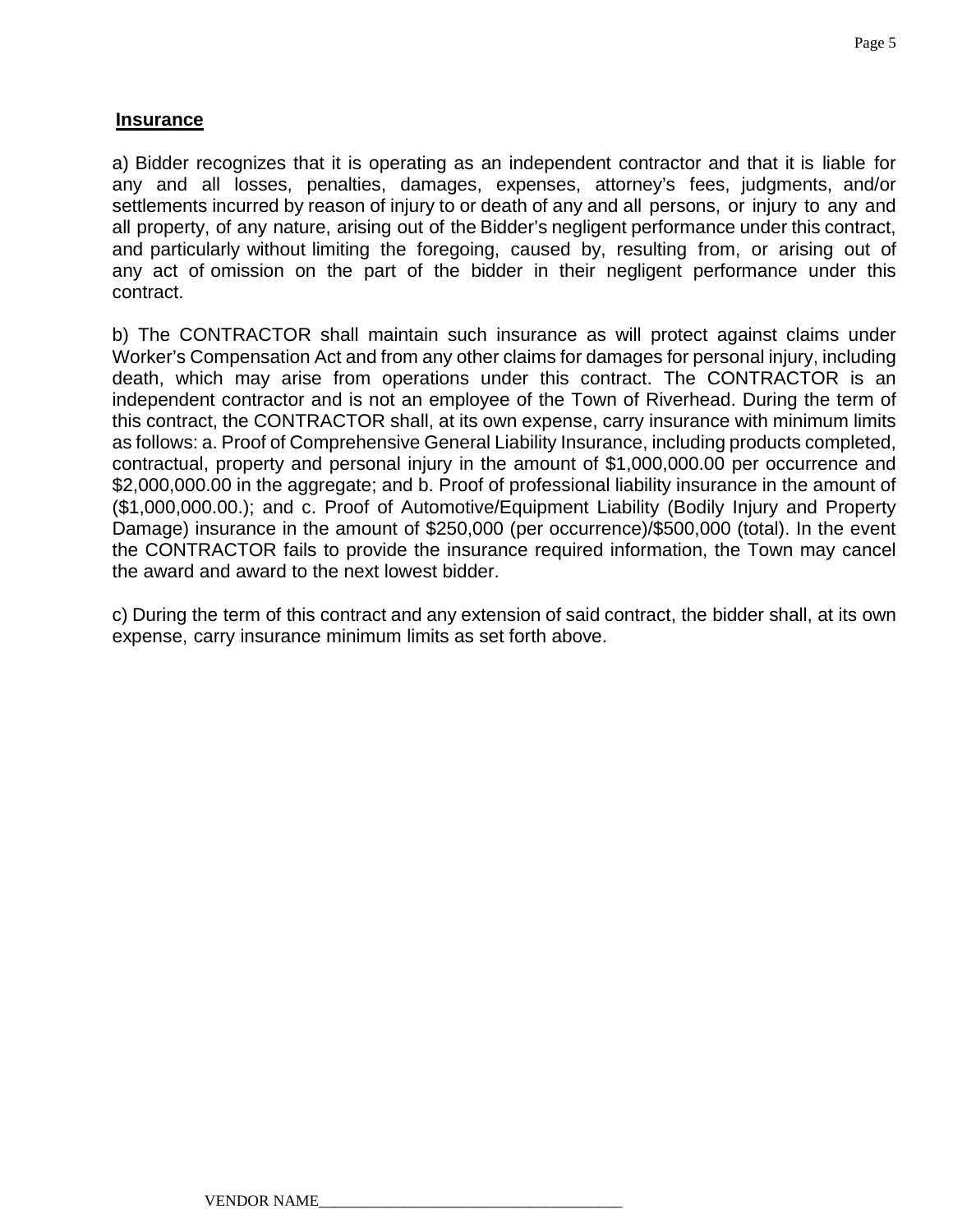#### **Insurance**

a) Bidder recognizes that it is operating as an independent contractor and that it is liable for any and all losses, penalties, damages, expenses, attorney's fees, judgments, and/or settlements incurred by reason of injury to or death of any and all persons, or injury to any and all property, of any nature, arising out of the Bidder's negligent performance under this contract, and particularly without limiting the foregoing, caused by, resulting from, or arising out of any act of omission on the part of the bidder in their negligent performance under this contract.

b) The CONTRACTOR shall maintain such insurance as will protect against claims under Worker's Compensation Act and from any other claims for damages for personal injury, including death, which may arise from operations under this contract. The CONTRACTOR is an independent contractor and is not an employee of the Town of Riverhead. During the term of this contract, the CONTRACTOR shall, at its own expense, carry insurance with minimum limits as follows: a. Proof of Comprehensive General Liability Insurance, including products completed, contractual, property and personal injury in the amount of \$1,000,000.00 per occurrence and \$2,000,000.00 in the aggregate; and b. Proof of professional liability insurance in the amount of (\$1,000,000.00.); and c. Proof of Automotive/Equipment Liability (Bodily Injury and Property Damage) insurance in the amount of \$250,000 (per occurrence)/\$500,000 (total). In the event the CONTRACTOR fails to provide the insurance required information, the Town may cancel the award and award to the next lowest bidder.

c) During the term of this contract and any extension of said contract, the bidder shall, at its own expense, carry insurance minimum limits as set forth above.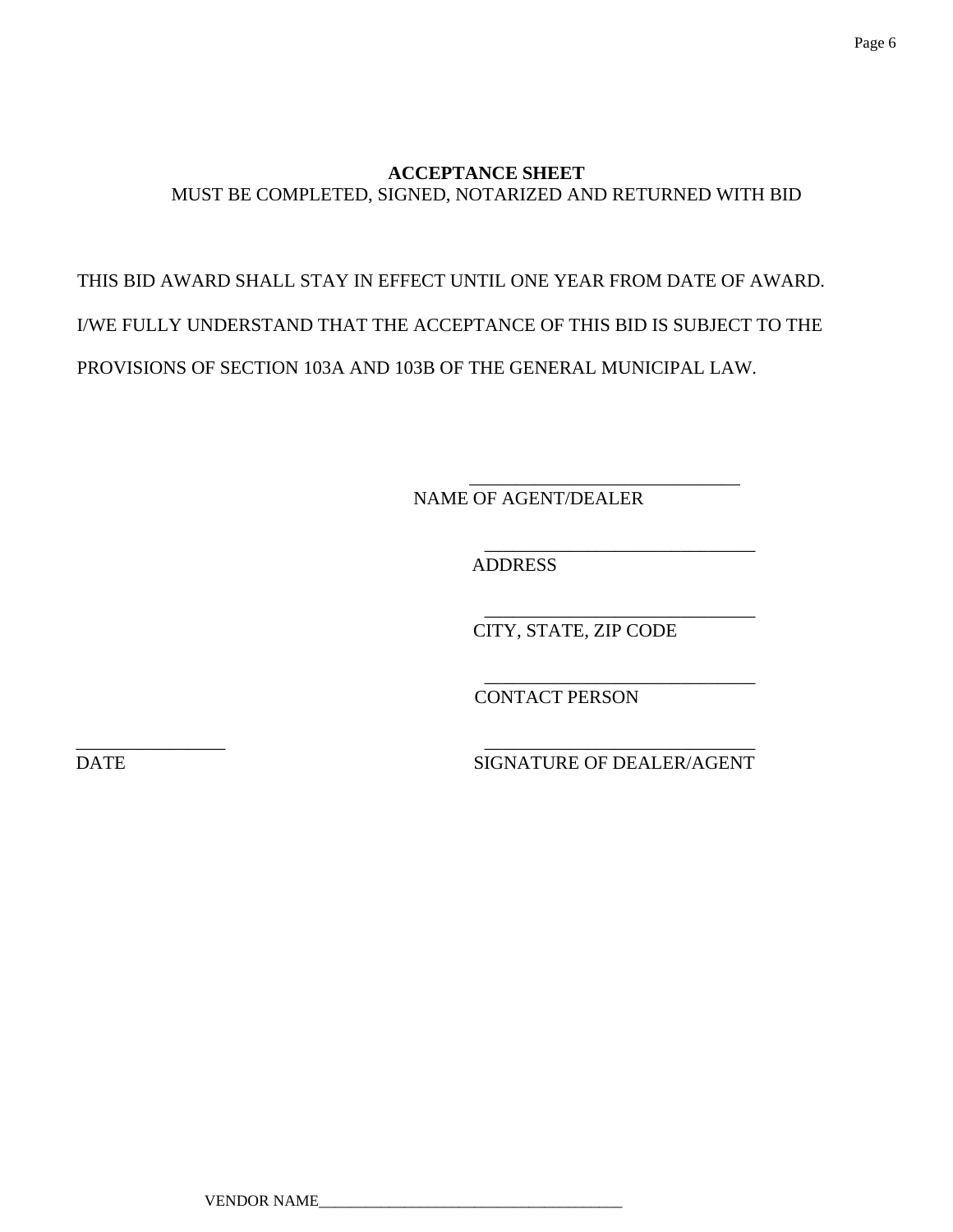#### **ACCEPTANCE SHEET**  MUST BE COMPLETED, SIGNED, NOTARIZED AND RETURNED WITH BID

# THIS BID AWARD SHALL STAY IN EFFECT UNTIL ONE YEAR FROM DATE OF AWARD. I/WE FULLY UNDERSTAND THAT THE ACCEPTANCE OF THIS BID IS SUBJECT TO THE PROVISIONS OF SECTION 103A AND 103B OF THE GENERAL MUNICIPAL LAW.

 $\overline{\phantom{a}}$  , and the contract of the contract of the contract of the contract of the contract of the contract of the contract of the contract of the contract of the contract of the contract of the contract of the contrac

 $\overline{\phantom{a}}$  , and the contract of the contract of the contract of the contract of the contract of the contract of the contract of the contract of the contract of the contract of the contract of the contract of the contrac

NAME OF AGENT/DEALER

 $\overline{\phantom{a}}$  , and the contract of the contract of the contract of the contract of the contract of the contract of the contract of the contract of the contract of the contract of the contract of the contract of the contrac ADDRESS

 $\overline{\phantom{a}}$  , and the contract of the contract of the contract of the contract of the contract of the contract of the contract of the contract of the contract of the contract of the contract of the contract of the contrac CITY, STATE, ZIP CODE

CONTACT PERSON

\_\_\_\_\_\_\_\_\_\_\_\_\_\_\_\_ \_\_\_\_\_\_\_\_\_\_\_\_\_\_\_\_\_\_\_\_\_\_\_\_\_\_\_\_\_ DATE SIGNATURE OF DEALER/AGENT

VENDOR NAME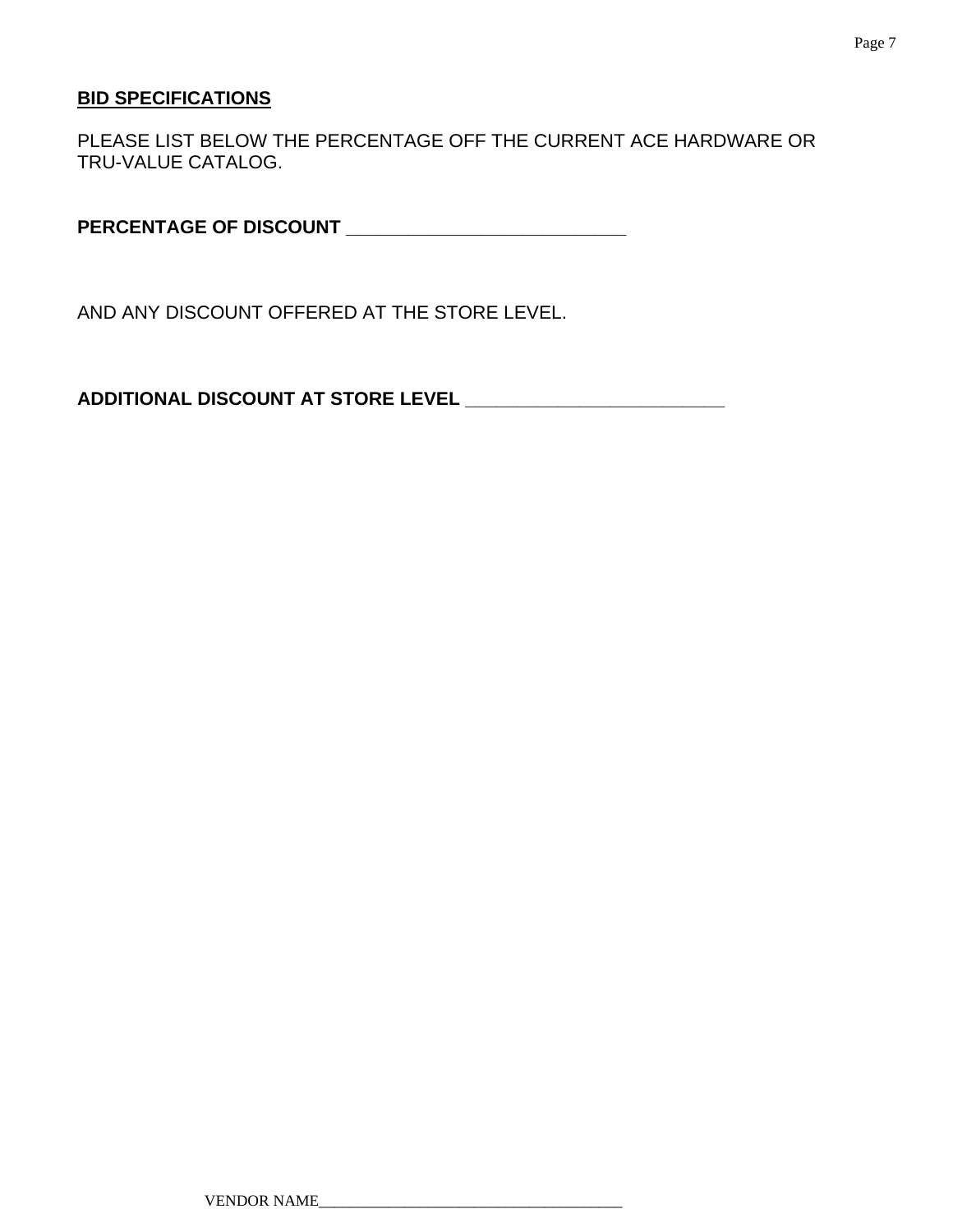#### **BID SPECIFICATIONS**

PLEASE LIST BELOW THE PERCENTAGE OFF THE CURRENT ACE HARDWARE OR TRU-VALUE CATALOG.

**PERCENTAGE OF DISCOUNT \_\_\_\_\_\_\_\_\_\_\_\_\_\_\_\_\_\_\_\_\_\_\_\_\_\_\_** 

AND ANY DISCOUNT OFFERED AT THE STORE LEVEL.

**ADDITIONAL DISCOUNT AT STORE LEVEL \_\_\_\_\_\_\_\_\_\_\_\_\_\_\_\_\_\_\_\_\_\_\_\_\_**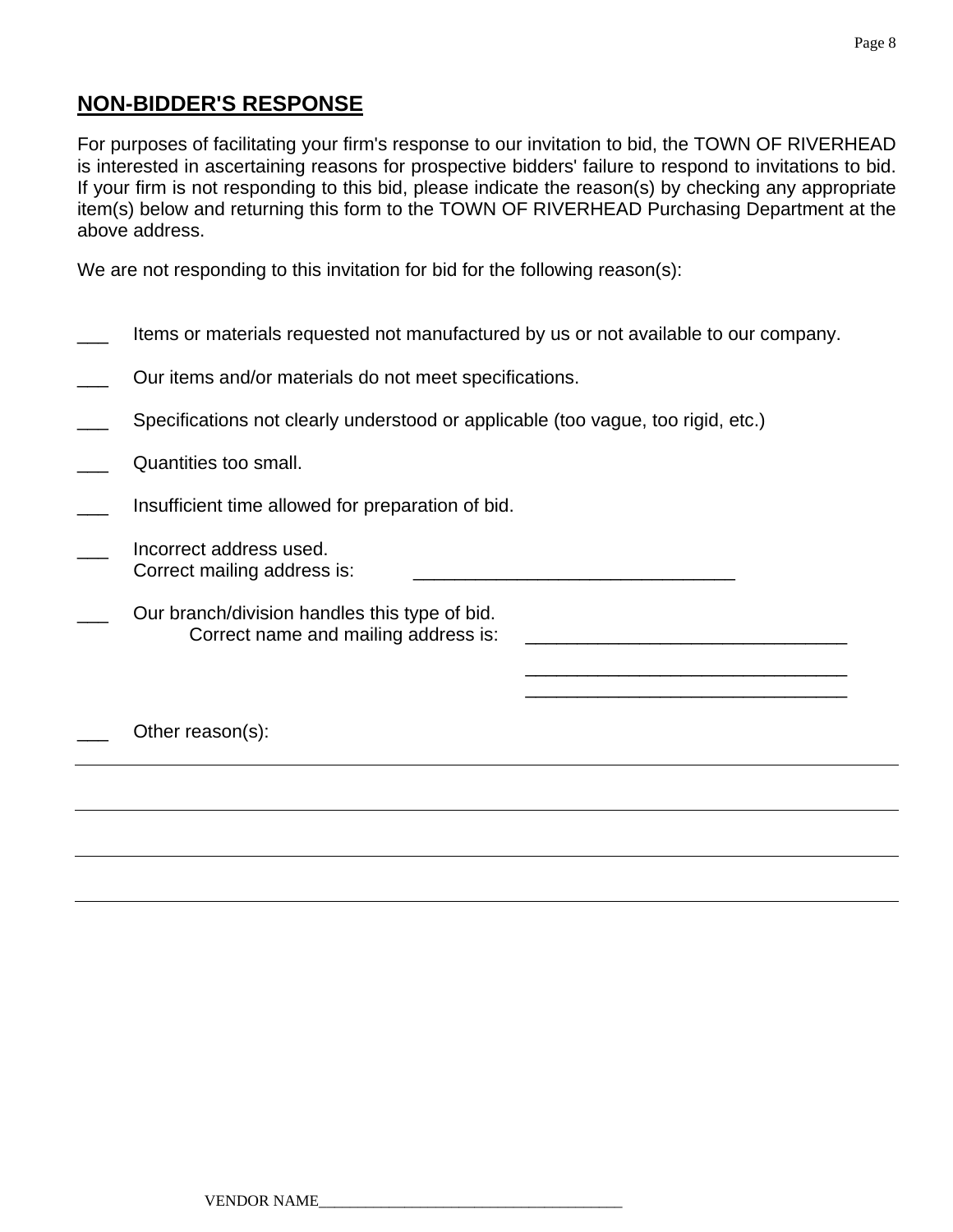### **NON-BIDDER'S RESPONSE**

For purposes of facilitating your firm's response to our invitation to bid, the TOWN OF RIVERHEAD is interested in ascertaining reasons for prospective bidders' failure to respond to invitations to bid. If your firm is not responding to this bid, please indicate the reason(s) by checking any appropriate item(s) below and returning this form to the TOWN OF RIVERHEAD Purchasing Department at the above address.

We are not responding to this invitation for bid for the following reason(s):

| Items or materials requested not manufactured by us or not available to our company.  |
|---------------------------------------------------------------------------------------|
| Our items and/or materials do not meet specifications.                                |
| Specifications not clearly understood or applicable (too vague, too rigid, etc.)      |
| Quantities too small.                                                                 |
| Insufficient time allowed for preparation of bid.                                     |
| Incorrect address used.<br>Correct mailing address is:                                |
| Our branch/division handles this type of bid.<br>Correct name and mailing address is: |
|                                                                                       |
| Other reason(s):                                                                      |
|                                                                                       |
|                                                                                       |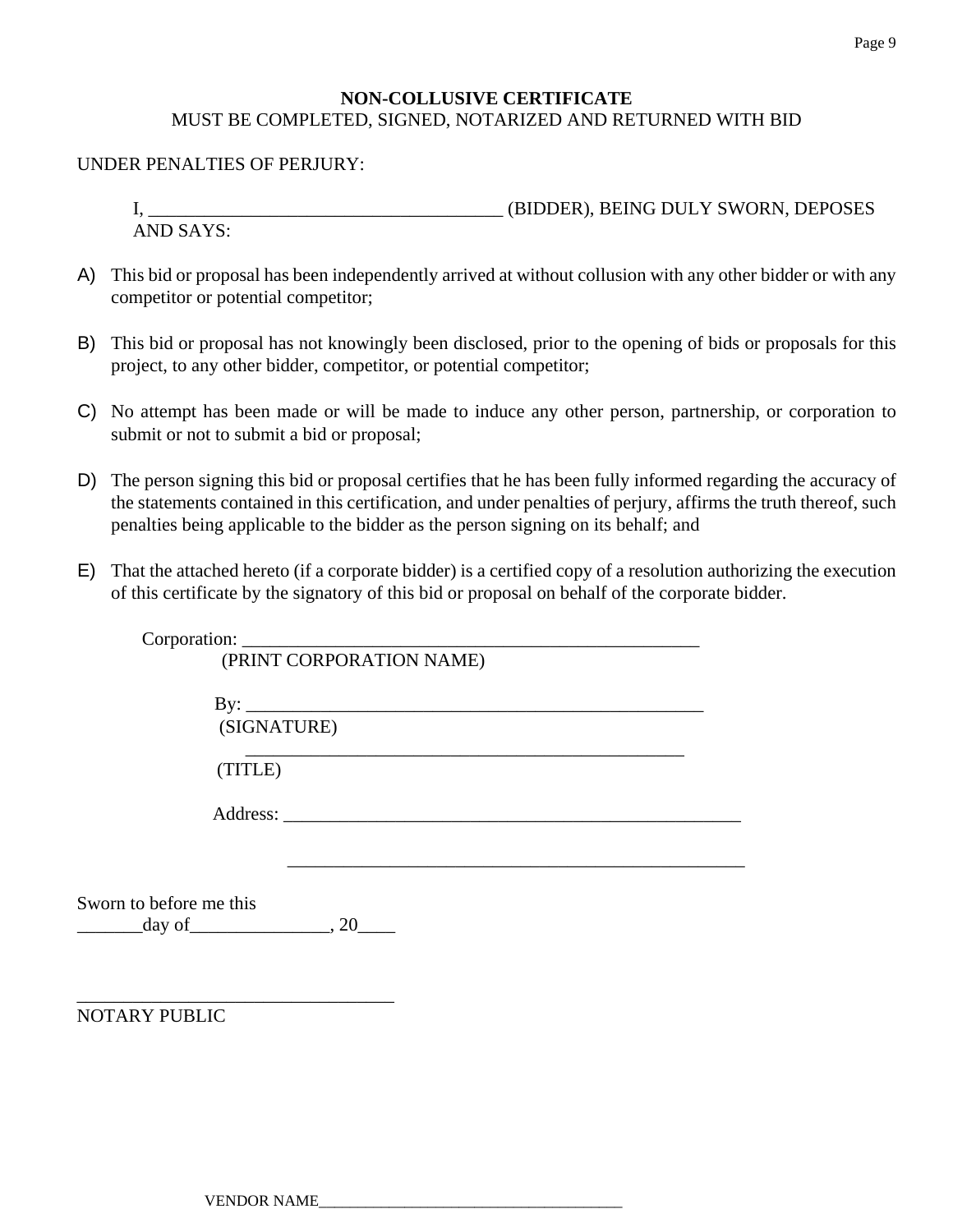#### **NON-COLLUSIVE CERTIFICATE**  MUST BE COMPLETED, SIGNED, NOTARIZED AND RETURNED WITH BID

#### UNDER PENALTIES OF PERJURY:

I, \_\_\_\_\_\_\_\_\_\_\_\_\_\_\_\_\_\_\_\_\_\_\_\_\_\_\_\_\_\_\_\_\_\_\_\_\_\_ (BIDDER), BEING DULY SWORN, DEPOSES AND SAYS:

- A) This bid or proposal has been independently arrived at without collusion with any other bidder or with any competitor or potential competitor;
- B) This bid or proposal has not knowingly been disclosed, prior to the opening of bids or proposals for this project, to any other bidder, competitor, or potential competitor;
- C) No attempt has been made or will be made to induce any other person, partnership, or corporation to submit or not to submit a bid or proposal;
- D) The person signing this bid or proposal certifies that he has been fully informed regarding the accuracy of the statements contained in this certification, and under penalties of perjury, affirms the truth thereof, such penalties being applicable to the bidder as the person signing on its behalf; and
- E) That the attached hereto (if a corporate bidder) is a certified copy of a resolution authorizing the execution of this certificate by the signatory of this bid or proposal on behalf of the corporate bidder.

|                                                                       | (PRINT CORPORATION NAME) |  |
|-----------------------------------------------------------------------|--------------------------|--|
|                                                                       |                          |  |
| (SIGNATURE)                                                           |                          |  |
| (TITLE)                                                               |                          |  |
|                                                                       |                          |  |
|                                                                       |                          |  |
| Sworn to before me this<br>$\frac{\text{day of}}{\text{day of}}$ , 20 |                          |  |
| <b>NOTARY PUBLIC</b>                                                  |                          |  |
|                                                                       |                          |  |
|                                                                       |                          |  |

VENDOR NAME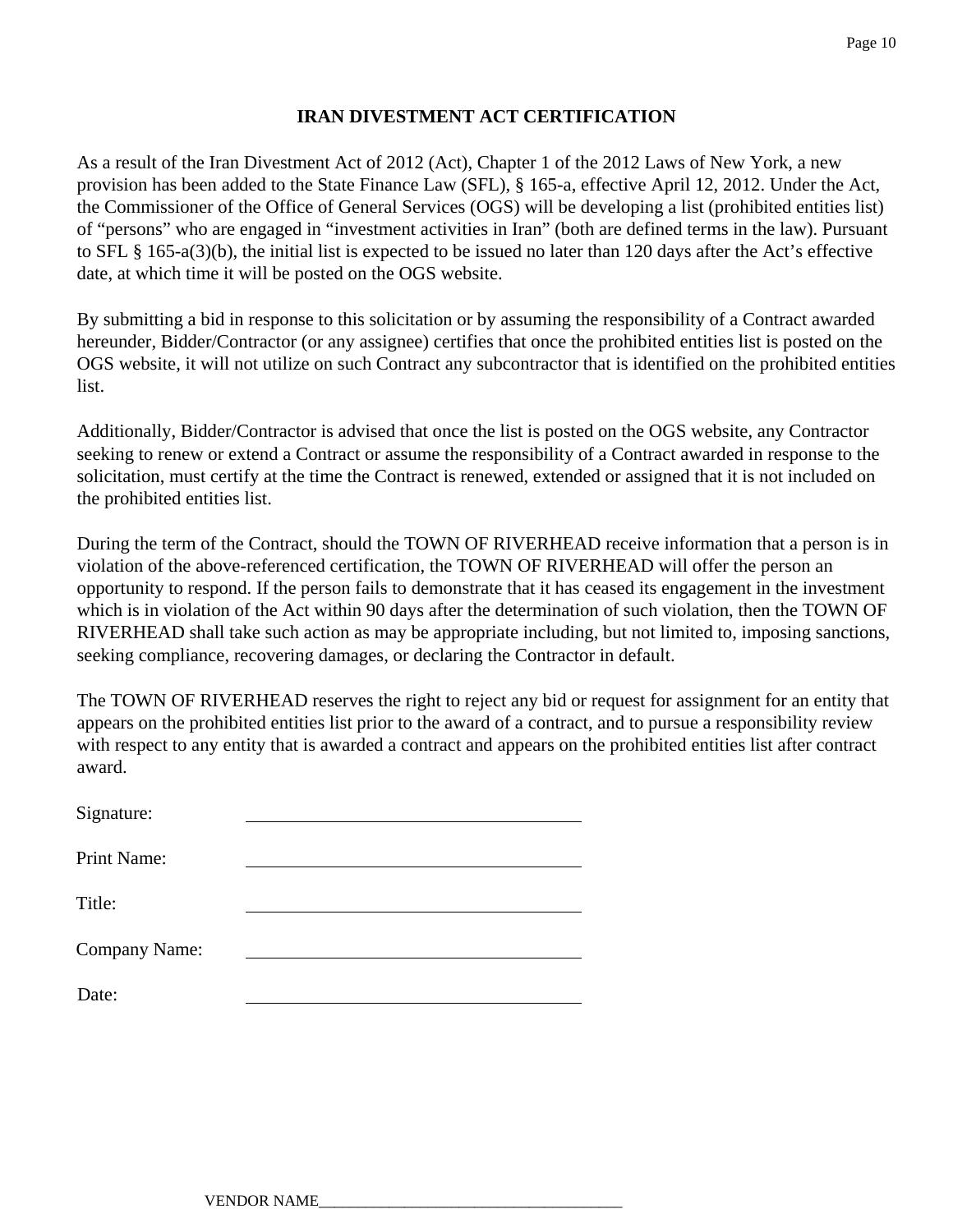#### **IRAN DIVESTMENT ACT CERTIFICATION**

As a result of the Iran Divestment Act of 2012 (Act), Chapter 1 of the 2012 Laws of New York, a new provision has been added to the State Finance Law (SFL), § 165-a, effective April 12, 2012. Under the Act, the Commissioner of the Office of General Services (OGS) will be developing a list (prohibited entities list) of "persons" who are engaged in "investment activities in Iran" (both are defined terms in the law). Pursuant to SFL § 165-a(3)(b), the initial list is expected to be issued no later than 120 days after the Act's effective date, at which time it will be posted on the OGS website.

By submitting a bid in response to this solicitation or by assuming the responsibility of a Contract awarded hereunder, Bidder/Contractor (or any assignee) certifies that once the prohibited entities list is posted on the OGS website, it will not utilize on such Contract any subcontractor that is identified on the prohibited entities list.

Additionally, Bidder/Contractor is advised that once the list is posted on the OGS website, any Contractor seeking to renew or extend a Contract or assume the responsibility of a Contract awarded in response to the solicitation, must certify at the time the Contract is renewed, extended or assigned that it is not included on the prohibited entities list.

During the term of the Contract, should the TOWN OF RIVERHEAD receive information that a person is in violation of the above-referenced certification, the TOWN OF RIVERHEAD will offer the person an opportunity to respond. If the person fails to demonstrate that it has ceased its engagement in the investment which is in violation of the Act within 90 days after the determination of such violation, then the TOWN OF RIVERHEAD shall take such action as may be appropriate including, but not limited to, imposing sanctions, seeking compliance, recovering damages, or declaring the Contractor in default.

The TOWN OF RIVERHEAD reserves the right to reject any bid or request for assignment for an entity that appears on the prohibited entities list prior to the award of a contract, and to pursue a responsibility review with respect to any entity that is awarded a contract and appears on the prohibited entities list after contract award.

| Signature:    |  |
|---------------|--|
| Print Name:   |  |
| Title:        |  |
|               |  |
| Company Name: |  |
| Date:         |  |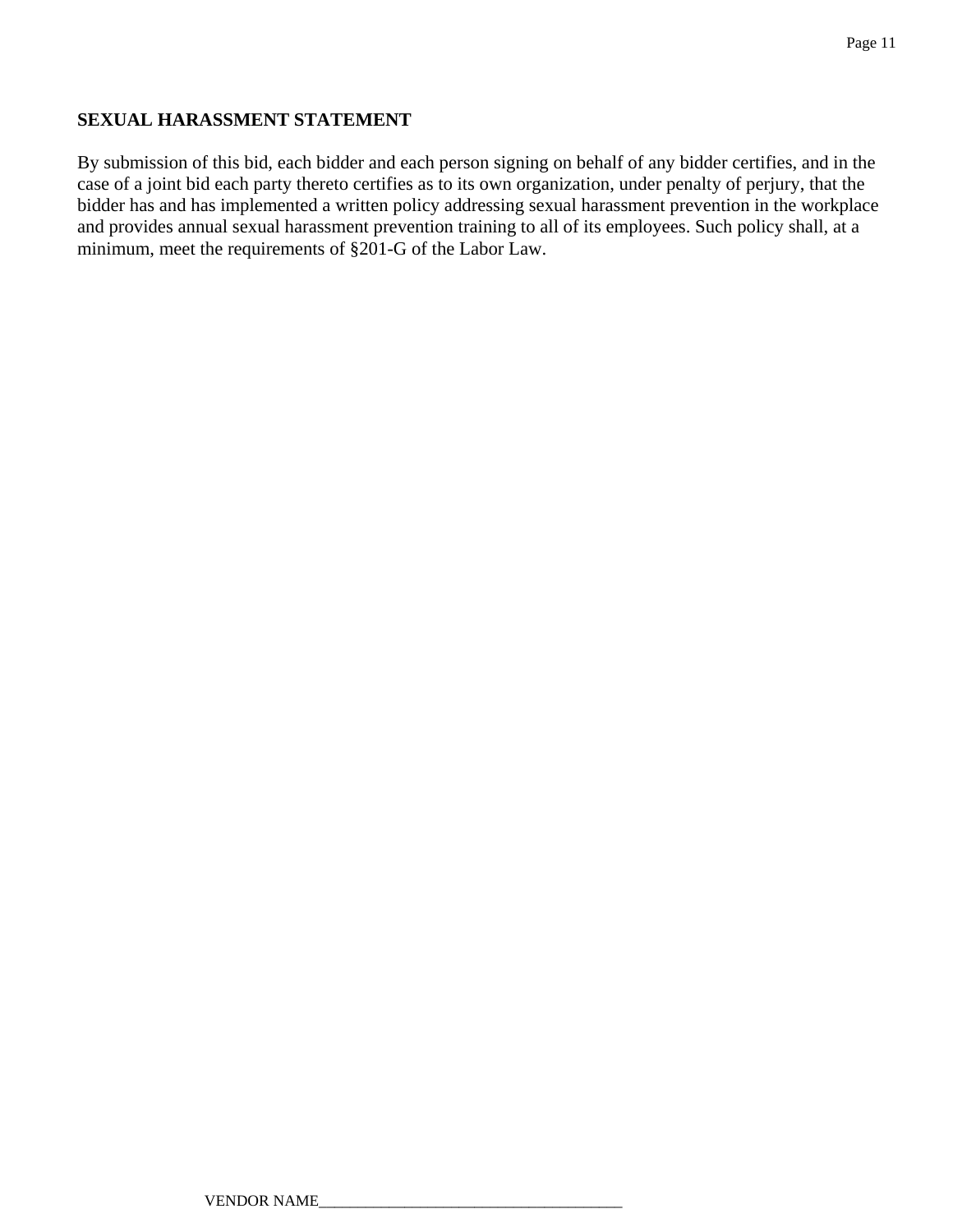#### **SEXUAL HARASSMENT STATEMENT**

By submission of this bid, each bidder and each person signing on behalf of any bidder certifies, and in the case of a joint bid each party thereto certifies as to its own organization, under penalty of perjury, that the bidder has and has implemented a written policy addressing sexual harassment prevention in the workplace and provides annual sexual harassment prevention training to all of its employees. Such policy shall, at a minimum, meet the requirements of §201-G of the Labor Law.